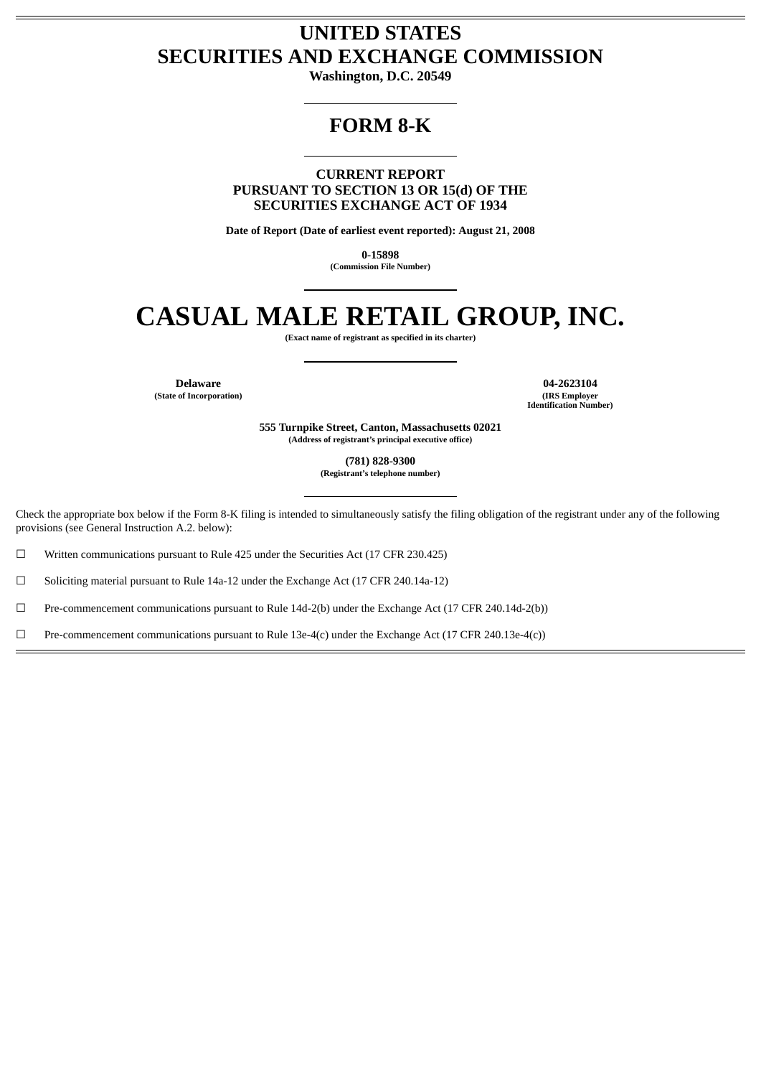# **UNITED STATES SECURITIES AND EXCHANGE COMMISSION**

**Washington, D.C. 20549**

# **FORM 8-K**

**CURRENT REPORT PURSUANT TO SECTION 13 OR 15(d) OF THE SECURITIES EXCHANGE ACT OF 1934**

**Date of Report (Date of earliest event reported): August 21, 2008**

**0-15898 (Commission File Number)**

# **CASUAL MALE RETAIL GROUP, INC.**

**(Exact name of registrant as specified in its charter)**

**(State of Incorporation)** 

**Delaware 04-2623104 Identification Number)**

> **555 Turnpike Street, Canton, Massachusetts 02021 (Address of registrant's principal executive office)**

> > **(781) 828-9300**

**(Registrant's telephone number)**

Check the appropriate box below if the Form 8-K filing is intended to simultaneously satisfy the filing obligation of the registrant under any of the following provisions (see General Instruction A.2. below):

☐ Written communications pursuant to Rule 425 under the Securities Act (17 CFR 230.425)

☐ Soliciting material pursuant to Rule 14a-12 under the Exchange Act (17 CFR 240.14a-12)

☐ Pre-commencement communications pursuant to Rule 14d-2(b) under the Exchange Act (17 CFR 240.14d-2(b))

☐ Pre-commencement communications pursuant to Rule 13e-4(c) under the Exchange Act (17 CFR 240.13e-4(c))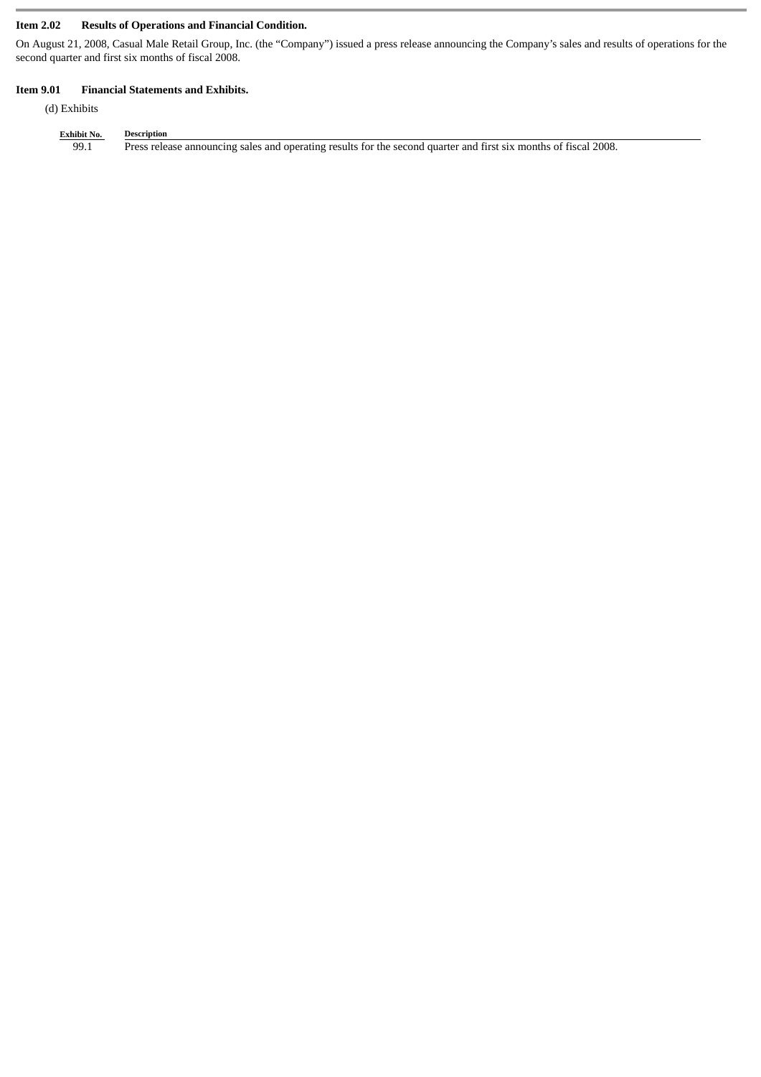# **Item 2.02 Results of Operations and Financial Condition.**

On August 21, 2008, Casual Male Retail Group, Inc. (the "Company") issued a press release announcing the Company's sales and results of operations for the second quarter and first six months of fiscal 2008.

## **Item 9.01 Financial Statements and Exhibits.**

(d) Exhibits

| <b>Exhibit No.</b> | Description                                                                                                      |
|--------------------|------------------------------------------------------------------------------------------------------------------|
| 99.1               | Press release announcing sales and operating results for the second quarter and first six months of fiscal 2008. |
|                    |                                                                                                                  |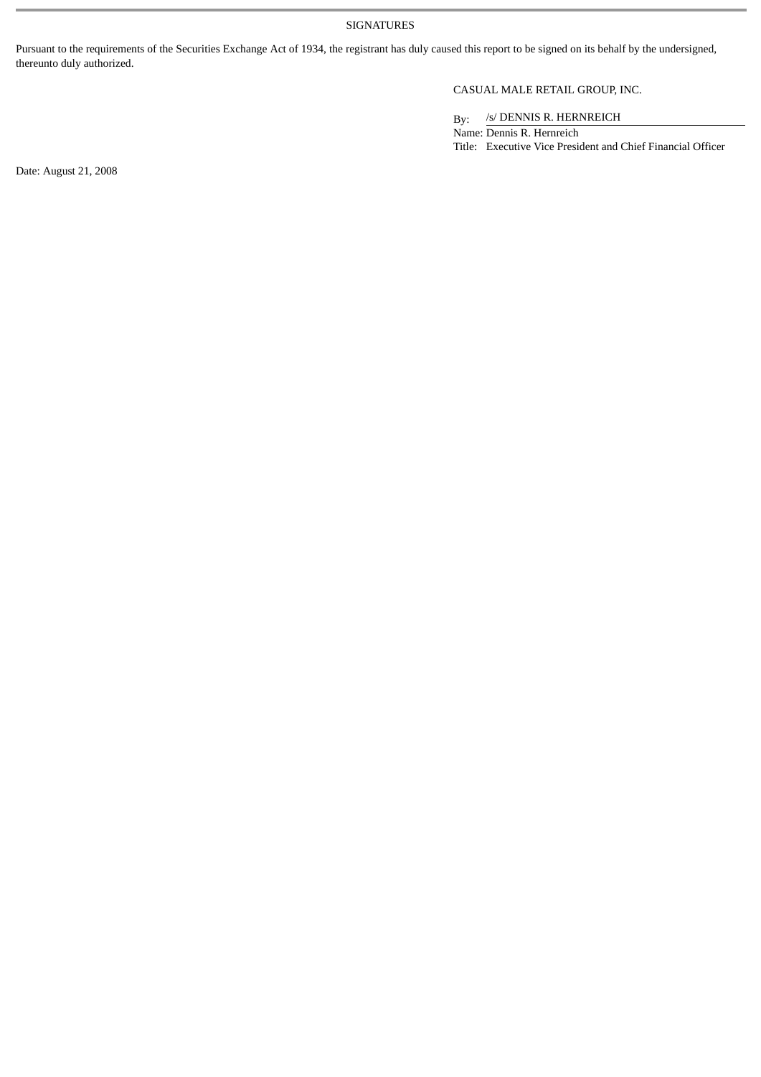SIGNATURES

Pursuant to the requirements of the Securities Exchange Act of 1934, the registrant has duly caused this report to be signed on its behalf by the undersigned, thereunto duly authorized.

# CASUAL MALE RETAIL GROUP, INC.

By: /s/ DENNIS R. HERNREICH

Name: Dennis R. Hernreich Title: Executive Vice President and Chief Financial Officer

Date: August 21, 2008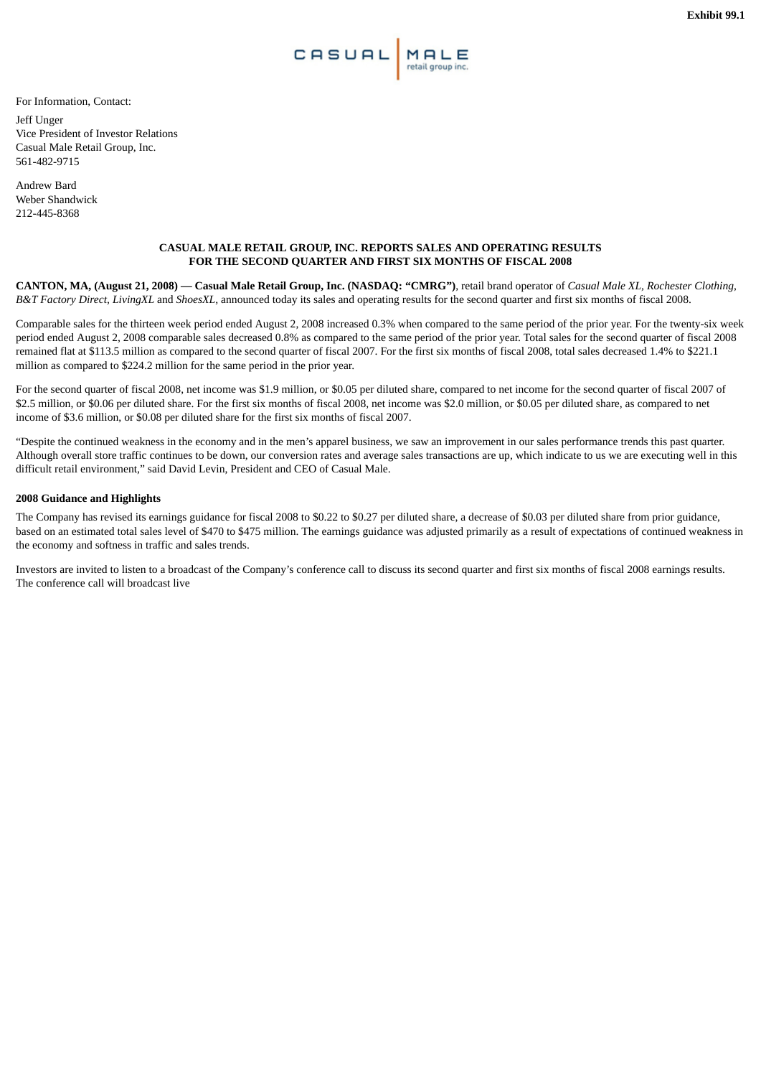

For Information, Contact:

Jeff Unger Vice President of Investor Relations Casual Male Retail Group, Inc. 561-482-9715

Andrew Bard Weber Shandwick 212-445-8368

#### **CASUAL MALE RETAIL GROUP, INC. REPORTS SALES AND OPERATING RESULTS FOR THE SECOND QUARTER AND FIRST SIX MONTHS OF FISCAL 2008**

**CANTON, MA, (August 21, 2008) — Casual Male Retail Group, Inc. (NASDAQ: "CMRG")**, retail brand operator of *Casual Male XL, Rochester Clothing*, *B&T Factory Direct*, *LivingXL* and *ShoesXL*, announced today its sales and operating results for the second quarter and first six months of fiscal 2008.

Comparable sales for the thirteen week period ended August 2, 2008 increased 0.3% when compared to the same period of the prior year. For the twenty-six week period ended August 2, 2008 comparable sales decreased 0.8% as compared to the same period of the prior year. Total sales for the second quarter of fiscal 2008 remained flat at \$113.5 million as compared to the second quarter of fiscal 2007. For the first six months of fiscal 2008, total sales decreased 1.4% to \$221.1 million as compared to \$224.2 million for the same period in the prior year.

For the second quarter of fiscal 2008, net income was \$1.9 million, or \$0.05 per diluted share, compared to net income for the second quarter of fiscal 2007 of \$2.5 million, or \$0.06 per diluted share. For the first six months of fiscal 2008, net income was \$2.0 million, or \$0.05 per diluted share, as compared to net income of \$3.6 million, or \$0.08 per diluted share for the first six months of fiscal 2007.

"Despite the continued weakness in the economy and in the men's apparel business, we saw an improvement in our sales performance trends this past quarter. Although overall store traffic continues to be down, our conversion rates and average sales transactions are up, which indicate to us we are executing well in this difficult retail environment," said David Levin, President and CEO of Casual Male.

### **2008 Guidance and Highlights**

The Company has revised its earnings guidance for fiscal 2008 to \$0.22 to \$0.27 per diluted share, a decrease of \$0.03 per diluted share from prior guidance, based on an estimated total sales level of \$470 to \$475 million. The earnings guidance was adjusted primarily as a result of expectations of continued weakness in the economy and softness in traffic and sales trends.

Investors are invited to listen to a broadcast of the Company's conference call to discuss its second quarter and first six months of fiscal 2008 earnings results. The conference call will broadcast live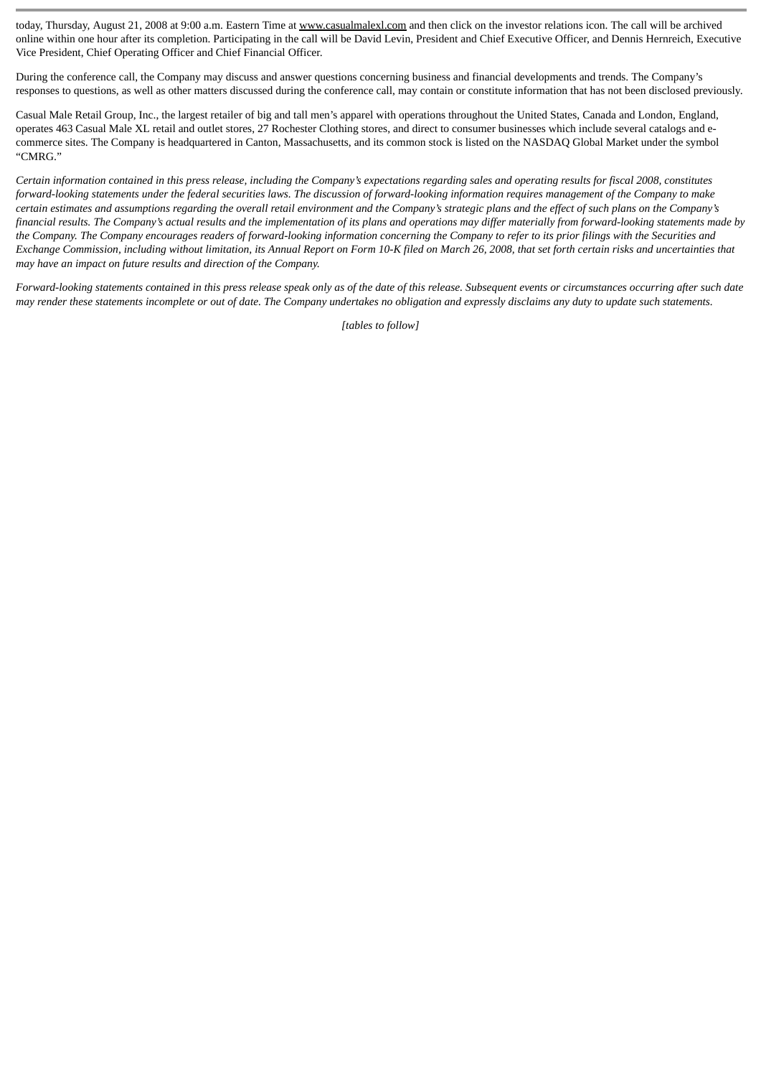today, Thursday, August 21, 2008 at 9:00 a.m. Eastern Time at www.casualmalexl.com and then click on the investor relations icon. The call will be archived online within one hour after its completion. Participating in the call will be David Levin, President and Chief Executive Officer, and Dennis Hernreich, Executive Vice President, Chief Operating Officer and Chief Financial Officer.

During the conference call, the Company may discuss and answer questions concerning business and financial developments and trends. The Company's responses to questions, as well as other matters discussed during the conference call, may contain or constitute information that has not been disclosed previously.

Casual Male Retail Group, Inc., the largest retailer of big and tall men's apparel with operations throughout the United States, Canada and London, England, operates 463 Casual Male XL retail and outlet stores, 27 Rochester Clothing stores, and direct to consumer businesses which include several catalogs and ecommerce sites. The Company is headquartered in Canton, Massachusetts, and its common stock is listed on the NASDAQ Global Market under the symbol "CMRG."

*Certain information contained in this press release, including the Company's expectations regarding sales and operating results for fiscal 2008, constitutes forward-looking statements under the federal securities laws. The discussion of forward-looking information requires management of the Company to make certain estimates and assumptions regarding the overall retail environment and the Company's strategic plans and the effect of such plans on the Company's financial results. The Company's actual results and the implementation of its plans and operations may differ materially from forward-looking statements made by the Company. The Company encourages readers of forward-looking information concerning the Company to refer to its prior filings with the Securities and Exchange Commission, including without limitation, its Annual Report on Form 10-K filed on March 26, 2008, that set forth certain risks and uncertainties that may have an impact on future results and direction of the Company.*

*Forward-looking statements contained in this press release speak only as of the date of this release. Subsequent events or circumstances occurring after such date may render these statements incomplete or out of date. The Company undertakes no obligation and expressly disclaims any duty to update such statements.*

*[tables to follow]*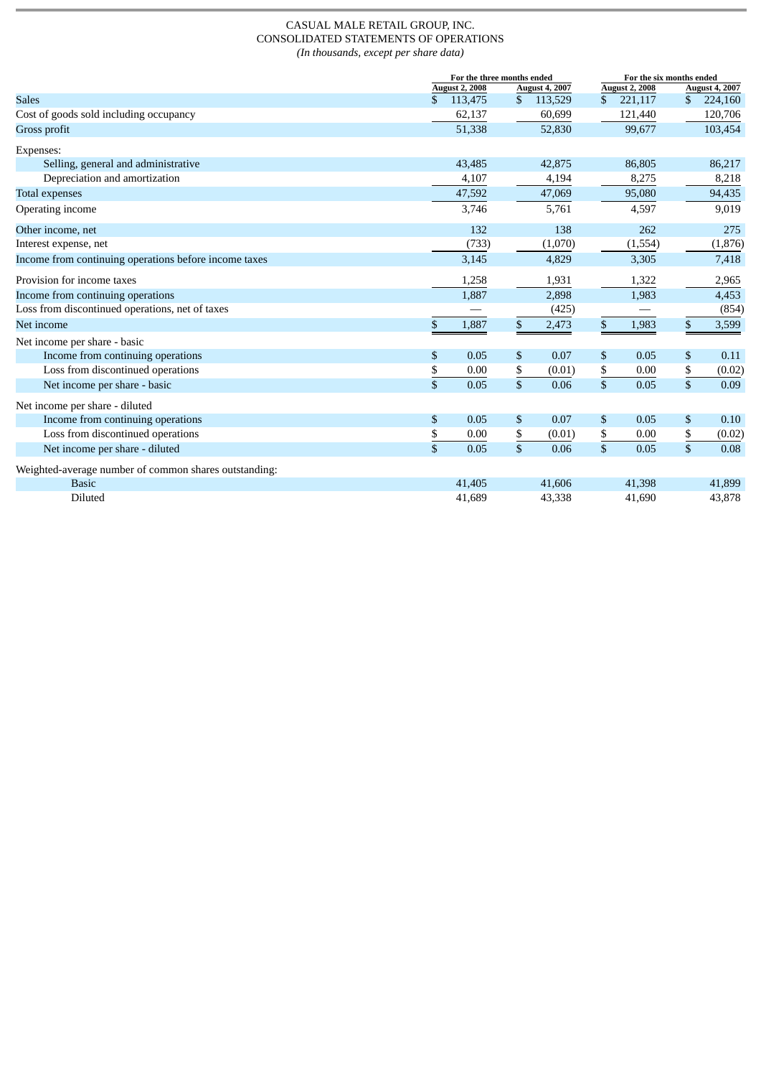#### CASUAL MALE RETAIL GROUP, INC. CONSOLIDATED STATEMENTS OF OPERATIONS *(In thousands, except per share data)*

|                                                       | For the three months ended |                |                       |              | For the six months ended |    |                       |  |
|-------------------------------------------------------|----------------------------|----------------|-----------------------|--------------|--------------------------|----|-----------------------|--|
|                                                       | <b>August 2, 2008</b>      |                | <b>August 4, 2007</b> |              | <b>August 2, 2008</b>    |    | <b>August 4, 2007</b> |  |
| <b>Sales</b>                                          | \$<br>113,475              | \$             | 113,529               | $\mathbb{S}$ | 221,117                  | \$ | 224,160               |  |
| Cost of goods sold including occupancy                | 62,137                     |                | 60,699                |              | 121,440                  |    | 120,706               |  |
| Gross profit                                          | 51,338                     |                | 52,830                |              | 99,677                   |    | 103,454               |  |
| Expenses:                                             |                            |                |                       |              |                          |    |                       |  |
| Selling, general and administrative                   | 43,485                     |                | 42,875                |              | 86,805                   |    | 86,217                |  |
| Depreciation and amortization                         | 4,107                      |                | 4,194                 |              | 8,275                    |    | 8,218                 |  |
| <b>Total expenses</b>                                 | 47,592                     |                | 47,069                |              | 95,080                   |    | 94,435                |  |
| Operating income                                      | 3,746                      |                | 5,761                 |              | 4,597                    |    | 9,019                 |  |
| Other income, net                                     | 132                        |                | 138                   |              | 262                      |    | 275                   |  |
| Interest expense, net                                 | (733)                      |                | (1,070)               |              | (1,554)                  |    | (1, 876)              |  |
| Income from continuing operations before income taxes | 3,145                      |                | 4,829                 |              | 3,305                    |    | 7,418                 |  |
| Provision for income taxes                            | 1,258                      |                | 1,931                 |              | 1,322                    |    | 2,965                 |  |
| Income from continuing operations                     | 1,887                      |                | 2,898                 |              | 1,983                    |    | 4,453                 |  |
| Loss from discontinued operations, net of taxes       |                            |                | (425)                 |              |                          |    | (854)                 |  |
| Net income                                            | \$<br>1,887                | \$             | 2,473                 | $\,$         | 1,983                    | \$ | 3,599                 |  |
| Net income per share - basic                          |                            |                |                       |              |                          |    |                       |  |
| Income from continuing operations                     | \$<br>0.05                 | \$             | 0.07                  | \$           | 0.05                     | \$ | 0.11                  |  |
| Loss from discontinued operations                     | \$<br>0.00                 | \$             | (0.01)                | \$           | 0.00                     | \$ | (0.02)                |  |
| Net income per share - basic                          | \$<br>0.05                 |                | 0.06                  | $\sqrt{3}$   | 0.05                     | \$ | 0.09                  |  |
| Net income per share - diluted                        |                            |                |                       |              |                          |    |                       |  |
| Income from continuing operations                     | \$<br>0.05                 | \$             | 0.07                  | \$           | 0.05                     | \$ | 0.10                  |  |
| Loss from discontinued operations                     | \$<br>0.00                 | \$             | (0.01)                | \$           | 0.00                     | \$ | (0.02)                |  |
| Net income per share - diluted                        | \$<br>0.05                 | $\mathfrak{s}$ | 0.06                  | \$           | 0.05                     | \$ | 0.08                  |  |
| Weighted-average number of common shares outstanding: |                            |                |                       |              |                          |    |                       |  |
| <b>Basic</b>                                          | 41,405                     |                | 41,606                |              | 41,398                   |    | 41,899                |  |
| Diluted                                               | 41,689                     |                | 43,338                |              | 41,690                   |    | 43,878                |  |